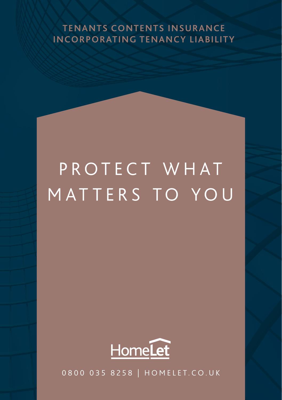#### **TENANTS CONTENTS INSURANCE INCORPORATING TENANCY LIABILITY**

# PROTECT WHAT MATTERS TO YOU



0800 035 8258 | HOMELET.CO.UK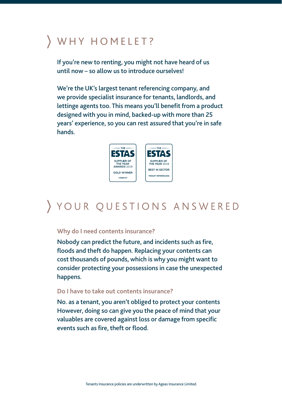# WHY HOMELET?

If you're new to renting, you might not have heard of us until now – so allow us to introduce ourselves!

We're the UK's largest tenant referencing company, and we provide specialist insurance for tenants, landlords, and lettinge agents too. This means you'll benefit from a product designed with you in mind, backed-up with more than 25 years' experience, so you can rest assured that you're in safe hands.



# YOUR QUESTIONS ANSWERED

#### **Why do I need contents insurance?**

Nobody can predict the future, and incidents such as fire, floods and theft do happen. Replacing your contents can cost thousands of pounds, which is why you might want to consider protecting your possessions in case the unexpected happens.

#### **Do I have to take out contents insurance?**

No. as a tenant, you aren't obliged to protect your contents However, doing so can give you the peace of mind that your valuables are covered against loss or damage from specific events such as fire, theft or flood.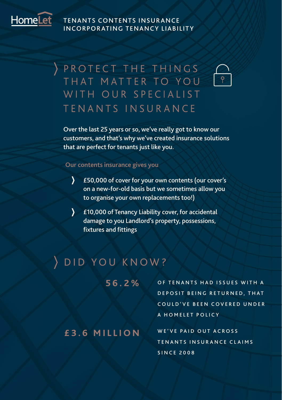

#### TENANTS CONTENTS INSUR ANCE INCORPORATING TENANCY LIABILITY

## PROTECT THE THINGS THAT MATTER TO YOU WITH OUR SPECIALIST TFNANTS INSURANCE

Over the last 25 years or so, we've really got to know our customers, and that's why we've created insurance solutions that are perfect for tenants just like you.

#### **Our contents insurance gives you**

- $\mathcal{F}$ £50,000 of cover for your own contents (our cover's on a new-for-old basis but we sometimes allow you to organise your own replacements too!)
- $\sum$ £10,000 of Tenancy Liability cover, for accidental damage to you Landlord's property, possessions, fixtures and fittings

#### DID YOU KNOW?

**56.2%**

OF TENANTS HAD ISSUES WITH A DEPOSIT BEING RETURNED. THAT COULD'VE BEEN COVERED UNDER A HOMELET POLICY

**£3.6 MILLION** WE'VE PAID OUT ACROSS TENANTS INSURANCE CLAIMS **SINCE 2008**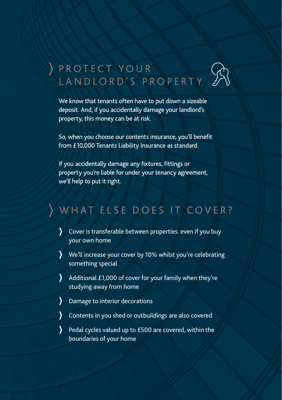

# A PROTECT YOUR<br>LANDLORD'S PROPERTY

We know that tenants often have to put down a sizeable deposit. And, if you accidentally damage your landlord's property, this money can be at risk.

So, when you choose our contents insurance, you'll benefit from £10,000 Tenants Liability Insurance as standard.

If you accidentally damage any fixtures, fittings or property you're liable for under your tenancy agreement, we'll help to put it right.

# WHAT ELSE DOES IT COVER?

- Cover is transferable between properties. even if you buy your own home
- We'll increase your cover by 10% whilst you're celebrating something special
- Υ Additional £1,000 of cover for your family when they're studying away from home
- Damage to interior decorations
- Contents in you shed or outbuildings are also covered
- Pedal cycles valued up to £500 are covered, within the boundaries of your home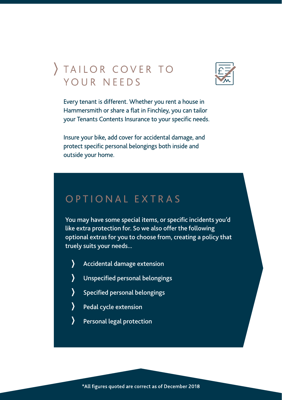### TAILOR COVER TO YOUR NEEDS



Every tenant is different. Whether you rent a house in Hammersmith or share a flat in Finchley, you can tailor your Tenants Contents Insurance to your specific needs.

Insure your bike, add cover for accidental damage, and protect specific personal belongings both inside and outside your home.

#### OPTIONAL EXTRAS

You may have some special items, or specific incidents you'd like extra protection for. So we also offer the following optional extras for you to choose from, creating a policy that truely suits your needs...

- Σ Accidental damage extension
- Unspecified personal belongings
- Specified personal belongings
- Pedal cycle extension
- Personal legal protection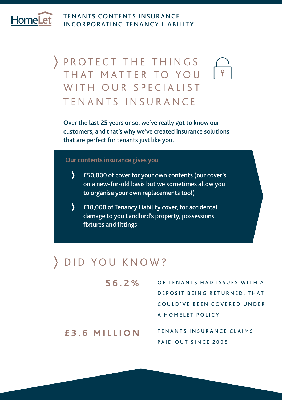HomeLe

#### TENANTS CONTENTS INSUR ANCE INCORPORATING TENANCY LIABILITY

# PROTECT THE THINGS THAT MATTER TO YOU WITH OUR SPECIALIST TENANTS INSURANCE

Over the last 25 years or so, we've really got to know our customers, and that's why we've created insurance solutions that are perfect for tenants just like you.

#### **Our contents insurance gives you**

- $\mathcal{L}$ £50,000 of cover for your own contents (our cover's on a new-for-old basis but we sometimes allow you to organise your own replacements too!)
- $\mathbf{\Sigma}$ £10,000 of Tenancy Liability cover, for accidental damage to you Landlord's property, possessions, fixtures and fittings

#### DID YOU KNOW?

OF TENANTS HAD ISSUES WITH A DEPOSIT BEING RETURNED. THAT COULD'VE BEEN COVERED UNDER A HOMELET POLICY **56.2%**

**£3.6 MILLION** TENANTS INSURANCE CLAIMS PAID OUT SINCE 2008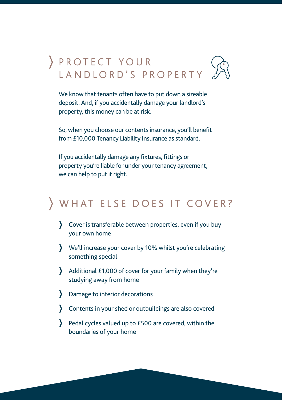# PROTECT YOUR LANDLORD'S PROPERTY

We know that tenants often have to put down a sizeable deposit. And, if you accidentally damage your landlord's property, this money can be at risk.

So, when you choose our contents insurance, you'll benefit from £10,000 Tenancy Liability Insurance as standard.

If you accidentally damage any fixtures, fittings or property you're liable for under your tenancy agreement, we can help to put it right.

### WHAT ELSE DOES IT COVER?

- Cover is transferable between properties. even if you buy your own home
- We'll increase your cover by 10% whilst you're celebrating something special
- Additional £1,000 of cover for your family when they're studying away from home
- Damage to interior decorations
- Contents in your shed or outbuildings are also covered
- Pedal cycles valued up to £500 are covered, within the boundaries of your home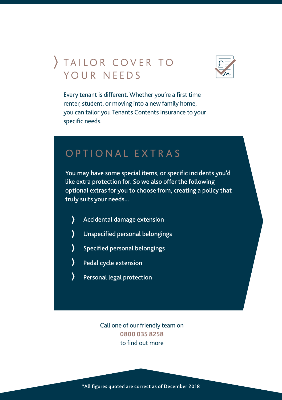# TAILOR COVER TO YOUR NEEDS



Every tenant is different. Whether you're a first time renter, student, or moving into a new family home, you can tailor you Tenants Contents Insurance to your specific needs.

#### OPTIONAL EXTRAS

You may have some special items, or specific incidents you'd like extra protection for. So we also offer the following optional extras for you to choose from, creating a policy that truly suits your needs...

- $\mathcal{Y}$ Accidental damage extension
- Unspecified personal belongings
- $\sum$ Specified personal belongings
- Pedal cycle extension
- Personal legal protection

Call one of our friendly team on **0800 035 8258** to find out more